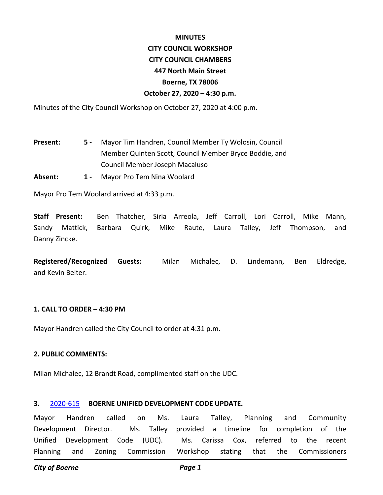#### **MINUTES**

# **CITY COUNCIL WORKSHOP CITY COUNCIL CHAMBERS 447 North Main Street Boerne, TX 78006 October 27, 2020 – 4:30 p.m.**

Minutes of the City Council Workshop on October 27, 2020 at 4:00 p.m.

- Mayor Tim Handren, Council Member Ty Wolosin, Council Member Quinten Scott, Council Member Bryce Boddie, and Council Member Joseph Macaluso **Present: 5 -**
- **Absent: 1** Mayor Pro Tem Nina Woolard

Mayor Pro Tem Woolard arrived at 4:33 p.m.

**Staff Present:** Ben Thatcher, Siria Arreola, Jeff Carroll, Lori Carroll, Mike Mann, Sandy Mattick, Barbara Quirk, Mike Raute, Laura Talley, Jeff Thompson, and Danny Zincke.

**Registered/Recognized Guests:** Milan Michalec, D. Lindemann, Ben Eldredge, and Kevin Belter.

# **1. CALL TO ORDER – 4:30 PM**

Mayor Handren called the City Council to order at 4:31 p.m.

## **2. PUBLIC COMMENTS:**

Milan Michalec, 12 Brandt Road, complimented staff on the UDC.

# **3.** [2020-615](http://boerne.legistar.com/gateway.aspx?m=l&id=/matter.aspx?key=5534) **BOERNE UNIFIED DEVELOPMENT CODE UPDATE.**

Mayor Handren called on Ms. Laura Talley, Planning and Community Development Director. Ms. Talley provided a timeline for completion of the Unified Development Code (UDC). Ms. Carissa Cox, referred to the recent Planning and Zoning Commission Workshop stating that the Commissioners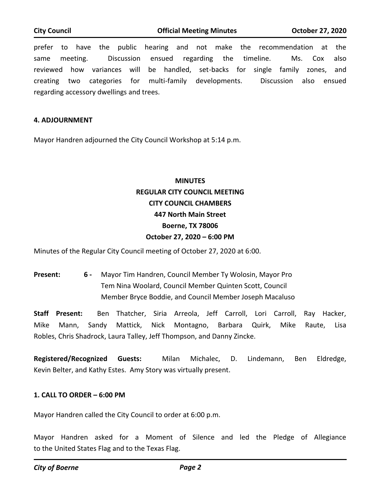prefer to have the public hearing and not make the recommendation at the same meeting. Discussion ensued regarding the timeline. Ms. Cox also reviewed how variances will be handled, set-backs for single family zones, and creating two categories for multi-family developments. Discussion also ensued regarding accessory dwellings and trees.

### **4. ADJOURNMENT**

Mayor Handren adjourned the City Council Workshop at 5:14 p.m.

# **MINUTES REGULAR CITY COUNCIL MEETING CITY COUNCIL CHAMBERS 447 North Main Street Boerne, TX 78006 October 27, 2020 – 6:00 PM**

Minutes of the Regular City Council meeting of October 27, 2020 at 6:00.

Mayor Tim Handren, Council Member Ty Wolosin, Mayor Pro Tem Nina Woolard, Council Member Quinten Scott, Council Member Bryce Boddie, and Council Member Joseph Macaluso **Present: 6 -** 

**Staff Present:** Ben Thatcher, Siria Arreola, Jeff Carroll, Lori Carroll, Ray Hacker, Mike Mann, Sandy Mattick, Nick Montagno, Barbara Quirk, Mike Raute, Lisa Robles, Chris Shadrock, Laura Talley, Jeff Thompson, and Danny Zincke.

**Registered/Recognized Guests:** Milan Michalec, D. Lindemann, Ben Eldredge, Kevin Belter, and Kathy Estes. Amy Story was virtually present.

# **1. CALL TO ORDER – 6:00 PM**

Mayor Handren called the City Council to order at 6:00 p.m.

Mayor Handren asked for a Moment of Silence and led the Pledge of Allegiance to the United States Flag and to the Texas Flag.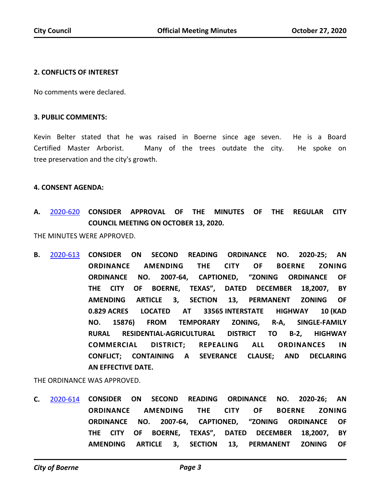## **2. CONFLICTS OF INTEREST**

No comments were declared.

#### **3. PUBLIC COMMENTS:**

Kevin Belter stated that he was raised in Boerne since age seven. He is a Board Certified Master Arborist. Many of the trees outdate the city. He spoke on tree preservation and the city's growth.

#### **4. CONSENT AGENDA:**

**A.** [2020-620](http://boerne.legistar.com/gateway.aspx?m=l&id=/matter.aspx?key=5539) **CONSIDER APPROVAL OF THE MINUTES OF THE REGULAR CITY COUNCIL MEETING ON OCTOBER 13, 2020.**

THE MINUTES WERE APPROVED.

**B.** [2020-613](http://boerne.legistar.com/gateway.aspx?m=l&id=/matter.aspx?key=5532) **CONSIDER ON SECOND READING ORDINANCE NO. 2020-25; AN ORDINANCE AMENDING THE CITY OF BOERNE ZONING ORDINANCE NO. 2007-64, CAPTIONED, "ZONING ORDINANCE OF THE CITY OF BOERNE, TEXAS", DATED DECEMBER 18,2007, BY AMENDING ARTICLE 3, SECTION 13, PERMANENT ZONING OF 0.829 ACRES LOCATED AT 33565 INTERSTATE HIGHWAY 10 (KAD NO. 15876) FROM TEMPORARY ZONING, R-A, SINGLE-FAMILY RURAL RESIDENTIAL-AGRICULTURAL DISTRICT TO B-2, HIGHWAY COMMERCIAL DISTRICT; REPEALING ALL ORDINANCES IN CONFLICT; CONTAINING A SEVERANCE CLAUSE; AND DECLARING AN EFFECTIVE DATE.**

THE ORDINANCE WAS APPROVED.

**C.** [2020-614](http://boerne.legistar.com/gateway.aspx?m=l&id=/matter.aspx?key=5533) **CONSIDER ON SECOND READING ORDINANCE NO. 2020-26; AN ORDINANCE AMENDING THE CITY OF BOERNE ZONING ORDINANCE NO. 2007-64, CAPTIONED, "ZONING ORDINANCE OF THE CITY OF BOERNE, TEXAS", DATED DECEMBER 18,2007, BY AMENDING ARTICLE 3, SECTION 13, PERMANENT ZONING OF**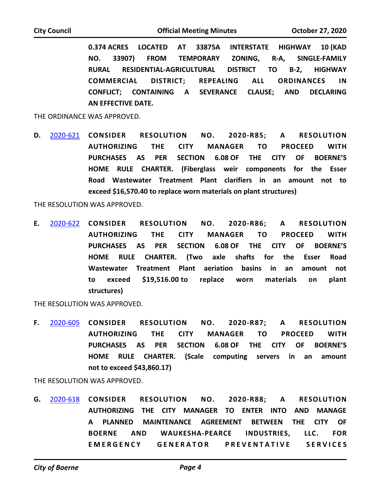**0.374 ACRES LOCATED AT 33875A INTERSTATE HIGHWAY 10 (KAD NO. 33907) FROM TEMPORARY ZONING, R-A, SINGLE-FAMILY RURAL RESIDENTIAL-AGRICULTURAL DISTRICT TO B-2, HIGHWAY COMMERCIAL DISTRICT; REPEALING ALL ORDINANCES IN CONFLICT; CONTAINING A SEVERANCE CLAUSE; AND DECLARING AN EFFECTIVE DATE.**

THE ORDINANCE WAS APPROVED.

**D.** [2020-621](http://boerne.legistar.com/gateway.aspx?m=l&id=/matter.aspx?key=5540) **CONSIDER RESOLUTION NO. 2020-R85; A RESOLUTION AUTHORIZING THE CITY MANAGER TO PROCEED WITH PURCHASES AS PER SECTION 6.08 OF THE CITY OF BOERNE'S HOME RULE CHARTER. (Fiberglass weir components for the Esser Road Wastewater Treatment Plant clarifiers in an amount not to exceed \$16,570.40 to replace worn materials on plant structures)**

THE RESOLUTION WAS APPROVED.

**E.** [2020-622](http://boerne.legistar.com/gateway.aspx?m=l&id=/matter.aspx?key=5541) **CONSIDER RESOLUTION NO. 2020-R86; A RESOLUTION AUTHORIZING THE CITY MANAGER TO PROCEED WITH PURCHASES AS PER SECTION 6.08 OF THE CITY OF BOERNE'S HOME RULE CHARTER. (Two axle shafts for the Esser Road Wastewater Treatment Plant aeriation basins in an amount not to exceed \$19,516.00 to replace worn materials on plant structures)**

THE RESOLUTION WAS APPROVED.

**F.** [2020-605](http://boerne.legistar.com/gateway.aspx?m=l&id=/matter.aspx?key=5524) **CONSIDER RESOLUTION NO. 2020-R87; A RESOLUTION AUTHORIZING THE CITY MANAGER TO PROCEED WITH PURCHASES AS PER SECTION 6.08 OF THE CITY OF BOERNE'S HOME RULE CHARTER. (Scale computing servers in an amount not to exceed \$43,860.17)**

THE RESOLUTION WAS APPROVED.

**G.** [2020-618](http://boerne.legistar.com/gateway.aspx?m=l&id=/matter.aspx?key=5537) **CONSIDER RESOLUTION NO. 2020-R88; A RESOLUTION AUTHORIZING THE CITY MANAGER TO ENTER INTO AND MANAGE A PLANNED MAINTENANCE AGREEMENT BETWEEN THE CITY OF BOERNE AND WAUKESHA-PEARCE INDUSTRIES, LLC. FOR EMERGENCY GENERATOR PREVENTATIVE SERVICES**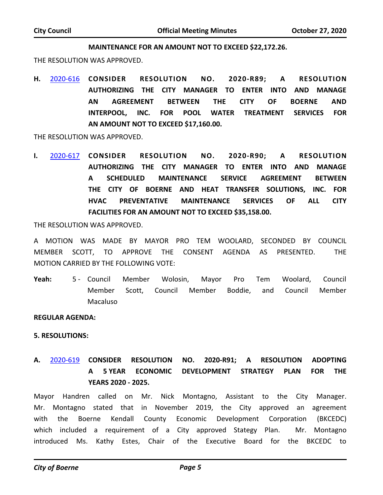#### **MAINTENANCE FOR AN AMOUNT NOT TO EXCEED \$22,172.26.**

THE RESOLUTION WAS APPROVED.

**H.** [2020-616](http://boerne.legistar.com/gateway.aspx?m=l&id=/matter.aspx?key=5535) **CONSIDER RESOLUTION NO. 2020-R89; A RESOLUTION AUTHORIZING THE CITY MANAGER TO ENTER INTO AND MANAGE AN AGREEMENT BETWEEN THE CITY OF BOERNE AND INTERPOOL, INC. FOR POOL WATER TREATMENT SERVICES FOR AN AMOUNT NOT TO EXCEED \$17,160.00.**

THE RESOLUTION WAS APPROVED.

**I.** [2020-617](http://boerne.legistar.com/gateway.aspx?m=l&id=/matter.aspx?key=5536) **CONSIDER RESOLUTION NO. 2020-R90; A RESOLUTION AUTHORIZING THE CITY MANAGER TO ENTER INTO AND MANAGE A SCHEDULED MAINTENANCE SERVICE AGREEMENT BETWEEN THE CITY OF BOERNE AND HEAT TRANSFER SOLUTIONS, INC. FOR HVAC PREVENTATIVE MAINTENANCE SERVICES OF ALL CITY FACILITIES FOR AN AMOUNT NOT TO EXCEED \$35,158.00.**

THE RESOLUTION WAS APPROVED.

A MOTION WAS MADE BY MAYOR PRO TEM WOOLARD, SECONDED BY COUNCIL MEMBER SCOTT, TO APPROVE THE CONSENT AGENDA AS PRESENTED. THE MOTION CARRIED BY THE FOLLOWING VOTE:

5 - Council Member Wolosin, Mayor Pro Tem Woolard, Council Member Scott, Council Member Boddie, and Council Member Macaluso Yeah:

**REGULAR AGENDA:**

#### **5. RESOLUTIONS:**

**A.** [2020-619](http://boerne.legistar.com/gateway.aspx?m=l&id=/matter.aspx?key=5538) **CONSIDER RESOLUTION NO. 2020-R91; A RESOLUTION ADOPTING A 5 YEAR ECONOMIC DEVELOPMENT STRATEGY PLAN FOR THE YEARS 2020 - 2025.**

Mayor Handren called on Mr. Nick Montagno, Assistant to the City Manager. Mr. Montagno stated that in November 2019, the City approved an agreement with the Boerne Kendall County Economic Development Corporation (BKCEDC) which included a requirement of a City approved Stategy Plan. Mr. Montagno introduced Ms. Kathy Estes, Chair of the Executive Board for the BKCEDC to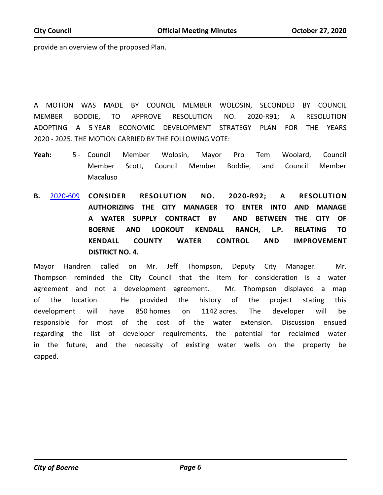provide an overview of the proposed Plan.

A MOTION WAS MADE BY COUNCIL MEMBER WOLOSIN, SECONDED BY COUNCIL MEMBER BODDIE, TO APPROVE RESOLUTION NO. 2020-R91; A RESOLUTION ADOPTING A 5 YEAR ECONOMIC DEVELOPMENT STRATEGY PLAN FOR THE YEARS 2020 - 2025. THE MOTION CARRIED BY THE FOLLOWING VOTE:

- Council Member Wolosin, Mayor Pro Tem Woolard, Council Member Scott, Council Member Boddie, and Council Member Macaluso Yeah: 5 - Council
- **B.** [2020-609](http://boerne.legistar.com/gateway.aspx?m=l&id=/matter.aspx?key=5528) **CONSIDER RESOLUTION NO. 2020-R92; A RESOLUTION AUTHORIZING THE CITY MANAGER TO ENTER INTO AND MANAGE A WATER SUPPLY CONTRACT BY AND BETWEEN THE CITY OF BOERNE AND LOOKOUT KENDALL RANCH, L.P. RELATING TO KENDALL COUNTY WATER CONTROL AND IMPROVEMENT DISTRICT NO. 4.**

Mayor Handren called on Mr. Jeff Thompson, Deputy City Manager. Mr. Thompson reminded the City Council that the item for consideration is a water agreement and not a development agreement. Mr. Thompson displayed a map of the location. He provided the history of the project stating this development will have 850 homes on 1142 acres. The developer will be responsible for most of the cost of the water extension. Discussion ensued regarding the list of developer requirements, the potential for reclaimed water in the future, and the necessity of existing water wells on the property be capped.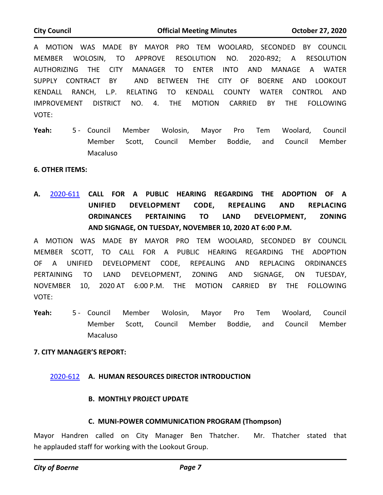A MOTION WAS MADE BY MAYOR PRO TEM WOOLARD, SECONDED BY COUNCIL MEMBER WOLOSIN, TO APPROVE RESOLUTION NO. 2020-R92; A RESOLUTION AUTHORIZING THE CITY MANAGER TO ENTER INTO AND MANAGE A WATER SUPPLY CONTRACT BY AND BETWEEN THE CITY OF BOERNE AND LOOKOUT KENDALL RANCH, L.P. RELATING TO KENDALL COUNTY WATER CONTROL AND IMPROVEMENT DISTRICT NO. 4. THE MOTION CARRIED BY THE FOLLOWING VOTE:

5 - Council Member Wolosin, Mayor Pro Tem Woolard, Council Member Scott, Council Member Boddie, and Council Member Macaluso Yeah:

## **6. OTHER ITEMS:**

**A.** [2020-611](http://boerne.legistar.com/gateway.aspx?m=l&id=/matter.aspx?key=5530) **CALL FOR A PUBLIC HEARING REGARDING THE ADOPTION OF A UNIFIED DEVELOPMENT CODE, REPEALING AND REPLACING ORDINANCES PERTAINING TO LAND DEVELOPMENT, ZONING AND SIGNAGE, ON TUESDAY, NOVEMBER 10, 2020 AT 6:00 P.M.**

A MOTION WAS MADE BY MAYOR PRO TEM WOOLARD, SECONDED BY COUNCIL MEMBER SCOTT, TO CALL FOR A PUBLIC HEARING REGARDING THE ADOPTION OF A UNIFIED DEVELOPMENT CODE, REPEALING AND REPLACING ORDINANCES PERTAINING TO LAND DEVELOPMENT, ZONING AND SIGNAGE, ON TUESDAY, NOVEMBER 10, 2020 AT 6:00 P.M. THE MOTION CARRIED BY THE FOLLOWING VOTE:

5 - Council Member Wolosin, Mayor Pro Tem Woolard, Council Member Scott, Council Member Boddie, and Council Member Macaluso Yeah:

#### **7. CITY MANAGER'S REPORT:**

# [2020-612](http://boerne.legistar.com/gateway.aspx?m=l&id=/matter.aspx?key=5531) **A. HUMAN RESOURCES DIRECTOR INTRODUCTION**

# **B. MONTHLY PROJECT UPDATE**

# **C. MUNI-POWER COMMUNICATION PROGRAM (Thompson)**

Mayor Handren called on City Manager Ben Thatcher. Mr. Thatcher stated that he applauded staff for working with the Lookout Group.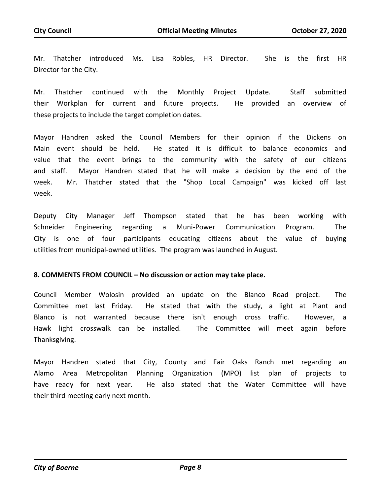Mr. Thatcher introduced Ms. Lisa Robles, HR Director. She is the first HR Director for the City.

Mr. Thatcher continued with the Monthly Project Update. Staff submitted their Workplan for current and future projects. He provided an overview of these projects to include the target completion dates.

Mayor Handren asked the Council Members for their opinion if the Dickens on Main event should be held. He stated it is difficult to balance economics and value that the event brings to the community with the safety of our citizens and staff. Mayor Handren stated that he will make a decision by the end of the week. Mr. Thatcher stated that the "Shop Local Campaign" was kicked off last week.

Deputy City Manager Jeff Thompson stated that he has been working with Schneider Engineering regarding a Muni-Power Communication Program. The City is one of four participants educating citizens about the value of buying utilities from municipal-owned utilities. The program was launched in August.

# **8. COMMENTS FROM COUNCIL – No discussion or action may take place.**

Council Member Wolosin provided an update on the Blanco Road project. The Committee met last Friday. He stated that with the study, a light at Plant and Blanco is not warranted because there isn't enough cross traffic. However, a Hawk light crosswalk can be installed. The Committee will meet again before Thanksgiving.

Mayor Handren stated that City, County and Fair Oaks Ranch met regarding an Alamo Area Metropolitan Planning Organization (MPO) list plan of projects to have ready for next year. He also stated that the Water Committee will have their third meeting early next month.